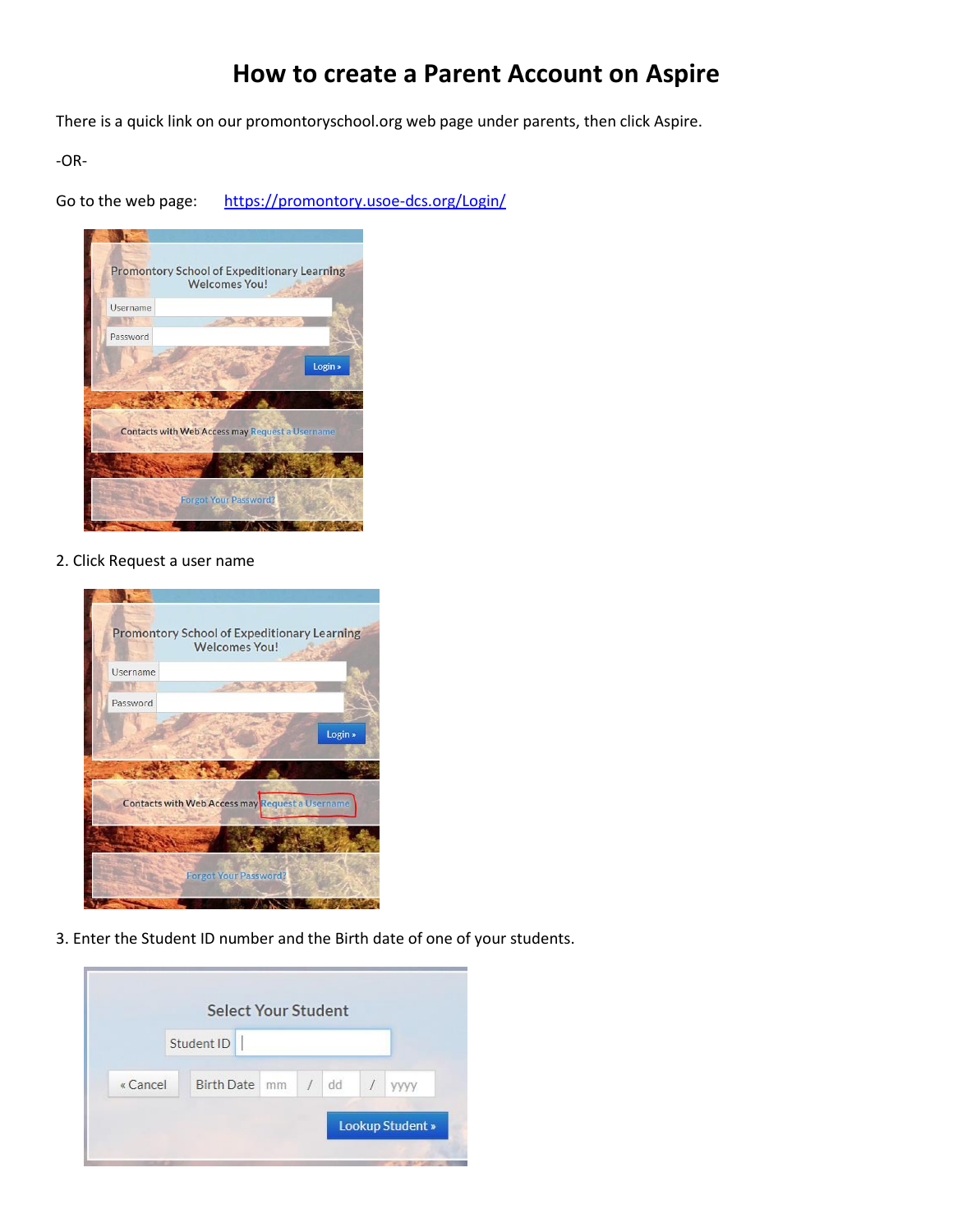## **How to create a Parent Account on Aspire**

There is a quick link on our promontoryschool.org web page under parents, then click Aspire.

-OR-

Go to the web page: <https://promontory.usoe-dcs.org/Login/>



2. Click Request a user name



3. Enter the Student ID number and the Birth date of one of your students.

|          | <b>Select Your Student</b> |     |    |      |
|----------|----------------------------|-----|----|------|
|          | Student ID                 |     |    |      |
| « Cancel | <b>Birth Date</b>          | mm. | dd | уууу |